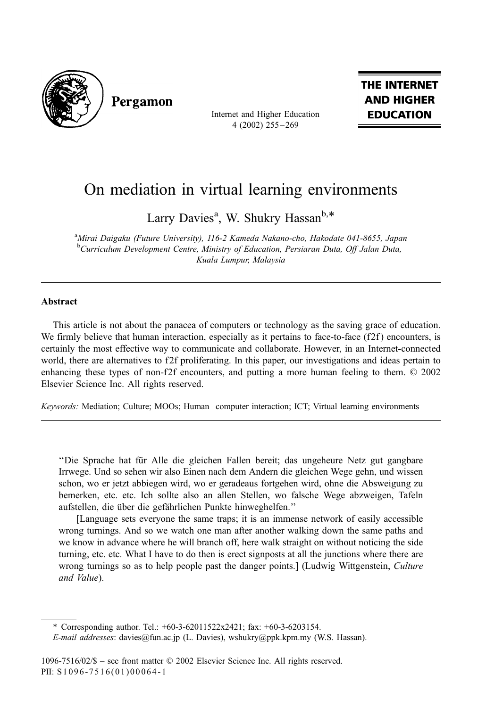

Pergamon

Internet and Higher Education 4 (2002) 255 – 269

## **THE INTERNET AND HIGHER EDUCATION**

# On mediation in virtual learning environments

Larry Davies<sup>a</sup>, W. Shukry Hassan<sup>b,\*</sup>

a<br>Mirai Daigaku (Future University), 116-2 Kameda Nakano-cho, Hakodate 041-8655, Japan <sup>b</sup>Curriculum Development Centre, Ministry of Education, Persiaran Duta, Off Jalan Duta, Kuala Lumpur, Malaysia

## Abstract

This article is not about the panacea of computers or technology as the saving grace of education. We firmly believe that human interaction, especially as it pertains to face-to-face  $(f2f)$  encounters, is certainly the most effective way to communicate and collaborate. However, in an Internet-connected world, there are alternatives to f2f proliferating. In this paper, our investigations and ideas pertain to enhancing these types of non-f2f encounters, and putting a more human feeling to them.  $\oslash$  2002 Elsevier Science Inc. All rights reserved.

Keywords: Mediation; Culture; MOOs; Human-computer interaction; ICT; Virtual learning environments

"Die Sprache hat für Alle die gleichen Fallen bereit; das ungeheure Netz gut gangbare Irrwege. Und so sehen wir also Einen nach dem Andern die gleichen Wege gehn, und wissen schon, wo er jetzt abbiegen wird, wo er geradeaus fortgehen wird, ohne die Absweigung zu bemerken, etc. etc. Ich sollte also an allen Stellen, wo falsche Wege abzweigen, Tafeln aufstellen, die über die gefährlichen Punkte hinweghelfen."

[Language sets everyone the same traps; it is an immense network of easily accessible wrong turnings. And so we watch one man after another walking down the same paths and we know in advance where he will branch off, here walk straight on without noticing the side turning, etc. etc. What I have to do then is erect signposts at all the junctions where there are wrong turnings so as to help people past the danger points.] (Ludwig Wittgenstein, *Culture* and Value).

\* Corresponding author. Tel.: +60-3-62011522x2421; fax: +60-3-6203154. E-mail addresses: davies@fun.ac.jp (L. Davies), wshukry@ppk.kpm.my (W.S. Hassan).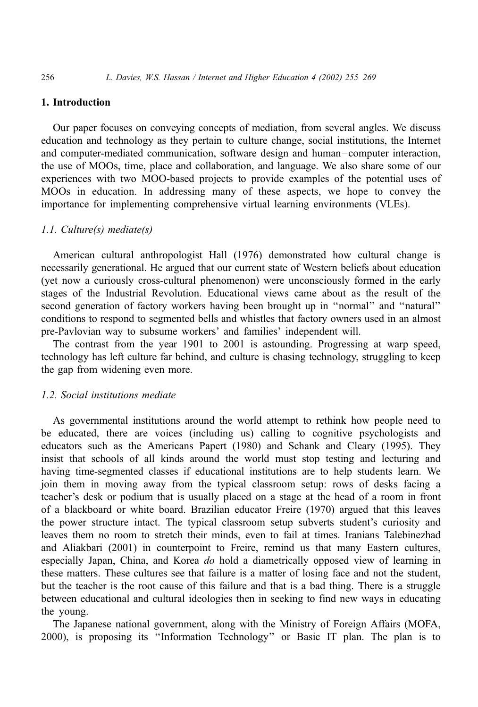## 1. Introduction

Our paper focuses on conveying concepts of mediation, from several angles. We discuss education and technology as they pertain to culture change, social institutions, the Internet and computer-mediated communication, software design and human–computer interaction, the use of MOOs, time, place and collaboration, and language. We also share some of our experiences with two MOO-based projects to provide examples of the potential uses of MOOs in education. In addressing many of these aspects, we hope to convey the importance for implementing comprehensive virtual learning environments (VLEs).

#### 1.1. Culture(s) mediate(s)

American cultural anthropologist Hall (1976) demonstrated how cultural change is necessarily generational. He argued that our current state of Western beliefs about education (yet now a curiously cross-cultural phenomenon) were unconsciously formed in the early stages of the Industrial Revolution. Educational views came about as the result of the second generation of factory workers having been brought up in ''normal'' and ''natural'' conditions to respond to segmented bells and whistles that factory owners used in an almost pre-Pavlovian way to subsume workers' and families' independent will.

The contrast from the year 1901 to 2001 is astounding. Progressing at warp speed, technology has left culture far behind, and culture is chasing technology, struggling to keep the gap from widening even more.

## 1.2. Social institutions mediate

As governmental institutions around the world attempt to rethink how people need to be educated, there are voices (including us) calling to cognitive psychologists and educators such as the Americans Papert (1980) and Schank and Cleary (1995). They insist that schools of all kinds around the world must stop testing and lecturing and having time-segmented classes if educational institutions are to help students learn. We join them in moving away from the typical classroom setup: rows of desks facing a teacher's desk or podium that is usually placed on a stage at the head of a room in front of a blackboard or white board. Brazilian educator Freire (1970) argued that this leaves the power structure intact. The typical classroom setup subverts student's curiosity and leaves them no room to stretch their minds, even to fail at times. Iranians Talebinezhad and Aliakbari (2001) in counterpoint to Freire, remind us that many Eastern cultures, especially Japan, China, and Korea do hold a diametrically opposed view of learning in these matters. These cultures see that failure is a matter of losing face and not the student, but the teacher is the root cause of this failure and that is a bad thing. There is a struggle between educational and cultural ideologies then in seeking to find new ways in educating the young.

The Japanese national government, along with the Ministry of Foreign Affairs (MOFA, 2000), is proposing its ''Information Technology'' or Basic IT plan. The plan is to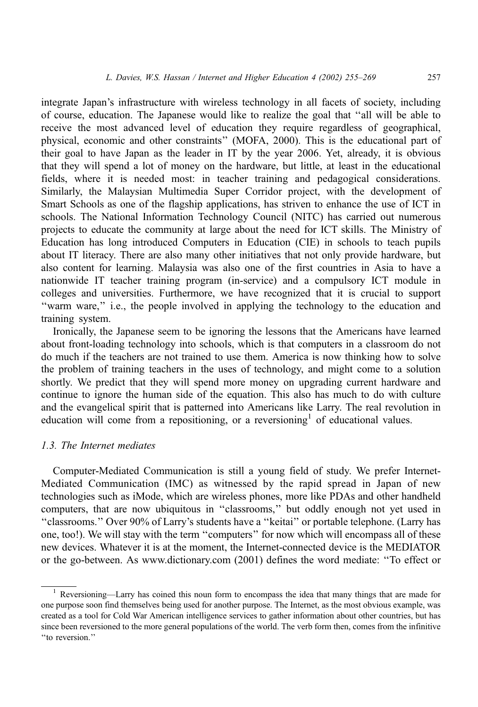integrate Japan's infrastructure with wireless technology in all facets of society, including of course, education. The Japanese would like to realize the goal that ''all will be able to receive the most advanced level of education they require regardless of geographical, physical, economic and other constraints'' (MOFA, 2000). This is the educational part of their goal to have Japan as the leader in IT by the year 2006. Yet, already, it is obvious that they will spend a lot of money on the hardware, but little, at least in the educational fields, where it is needed most: in teacher training and pedagogical considerations. Similarly, the Malaysian Multimedia Super Corridor project, with the development of Smart Schools as one of the flagship applications, has striven to enhance the use of ICT in schools. The National Information Technology Council (NITC) has carried out numerous projects to educate the community at large about the need for ICT skills. The Ministry of Education has long introduced Computers in Education (CIE) in schools to teach pupils about IT literacy. There are also many other initiatives that not only provide hardware, but also content for learning. Malaysia was also one of the first countries in Asia to have a nationwide IT teacher training program (in-service) and a compulsory ICT module in colleges and universities. Furthermore, we have recognized that it is crucial to support ''warm ware,'' i.e., the people involved in applying the technology to the education and training system.

Ironically, the Japanese seem to be ignoring the lessons that the Americans have learned about front-loading technology into schools, which is that computers in a classroom do not do much if the teachers are not trained to use them. America is now thinking how to solve the problem of training teachers in the uses of technology, and might come to a solution shortly. We predict that they will spend more money on upgrading current hardware and continue to ignore the human side of the equation. This also has much to do with culture and the evangelical spirit that is patterned into Americans like Larry. The real revolution in education will come from a repositioning, or a reversioning of educational values.

## 1.3. The Internet mediates

Computer-Mediated Communication is still a young field of study. We prefer Internet-Mediated Communication (IMC) as witnessed by the rapid spread in Japan of new technologies such as iMode, which are wireless phones, more like PDAs and other handheld computers, that are now ubiquitous in ''classrooms,'' but oddly enough not yet used in ''classrooms.'' Over 90% of Larry's students have a ''keitai'' or portable telephone. (Larry has one, too!). We will stay with the term ''computers'' for now which will encompass all of these new devices. Whatever it is at the moment, the Internet-connected device is the MEDIATOR or the go-between. As www.dictionary.com (2001) defines the word mediate: ''To effect or

<sup>&</sup>lt;sup>1</sup> Reversioning—Larry has coined this noun form to encompass the idea that many things that are made for one purpose soon find themselves being used for another purpose. The Internet, as the most obvious example, was created as a tool for Cold War American intelligence services to gather information about other countries, but has since been reversioned to the more general populations of the world. The verb form then, comes from the infinitive ''to reversion.''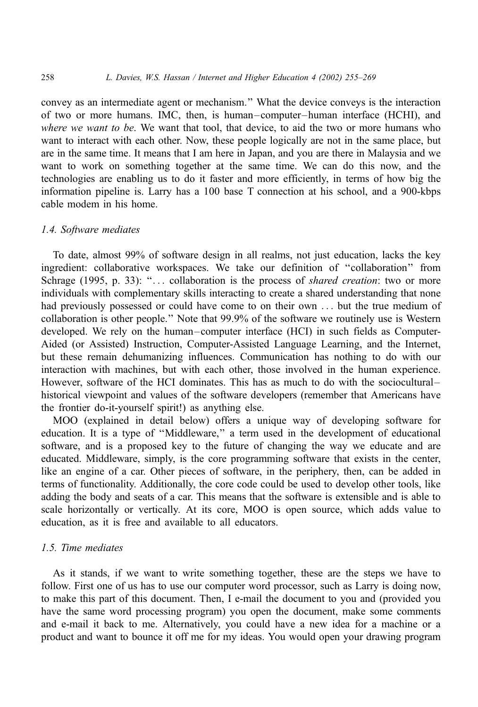convey as an intermediate agent or mechanism.'' What the device conveys is the interaction of two or more humans. IMC, then, is human–computer–human interface (HCHI), and where we want to be. We want that tool, that device, to aid the two or more humans who want to interact with each other. Now, these people logically are not in the same place, but are in the same time. It means that I am here in Japan, and you are there in Malaysia and we want to work on something together at the same time. We can do this now, and the technologies are enabling us to do it faster and more efficiently, in terms of how big the information pipeline is. Larry has a 100 base T connection at his school, and a 900-kbps cable modem in his home.

#### 1.4. Software mediates

To date, almost 99% of software design in all realms, not just education, lacks the key ingredient: collaborative workspaces. We take our definition of ''collaboration'' from Schrage (1995, p. 33): "... collaboration is the process of *shared creation*: two or more individuals with complementary skills interacting to create a shared understanding that none had previously possessed or could have come to on their own ... but the true medium of collaboration is other people.'' Note that 99.9% of the software we routinely use is Western developed. We rely on the human–computer interface (HCI) in such fields as Computer-Aided (or Assisted) Instruction, Computer-Assisted Language Learning, and the Internet, but these remain dehumanizing influences. Communication has nothing to do with our interaction with machines, but with each other, those involved in the human experience. However, software of the HCI dominates. This has as much to do with the sociocultural– historical viewpoint and values of the software developers (remember that Americans have the frontier do-it-yourself spirit!) as anything else.

MOO (explained in detail below) offers a unique way of developing software for education. It is a type of ''Middleware,'' a term used in the development of educational software, and is a proposed key to the future of changing the way we educate and are educated. Middleware, simply, is the core programming software that exists in the center, like an engine of a car. Other pieces of software, in the periphery, then, can be added in terms of functionality. Additionally, the core code could be used to develop other tools, like adding the body and seats of a car. This means that the software is extensible and is able to scale horizontally or vertically. At its core, MOO is open source, which adds value to education, as it is free and available to all educators.

## 1.5. Time mediates

As it stands, if we want to write something together, these are the steps we have to follow. First one of us has to use our computer word processor, such as Larry is doing now, to make this part of this document. Then, I e-mail the document to you and (provided you have the same word processing program) you open the document, make some comments and e-mail it back to me. Alternatively, you could have a new idea for a machine or a product and want to bounce it off me for my ideas. You would open your drawing program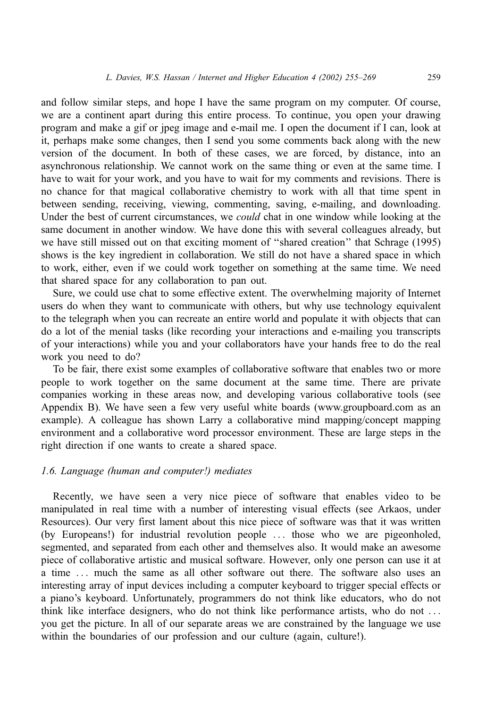and follow similar steps, and hope I have the same program on my computer. Of course, we are a continent apart during this entire process. To continue, you open your drawing program and make a gif or jpeg image and e-mail me. I open the document if I can, look at it, perhaps make some changes, then I send you some comments back along with the new version of the document. In both of these cases, we are forced, by distance, into an asynchronous relationship. We cannot work on the same thing or even at the same time. I have to wait for your work, and you have to wait for my comments and revisions. There is no chance for that magical collaborative chemistry to work with all that time spent in between sending, receiving, viewing, commenting, saving, e-mailing, and downloading. Under the best of current circumstances, we *could* chat in one window while looking at the same document in another window. We have done this with several colleagues already, but we have still missed out on that exciting moment of ''shared creation'' that Schrage (1995) shows is the key ingredient in collaboration. We still do not have a shared space in which to work, either, even if we could work together on something at the same time. We need that shared space for any collaboration to pan out.

Sure, we could use chat to some effective extent. The overwhelming majority of Internet users do when they want to communicate with others, but why use technology equivalent to the telegraph when you can recreate an entire world and populate it with objects that can do a lot of the menial tasks (like recording your interactions and e-mailing you transcripts of your interactions) while you and your collaborators have your hands free to do the real work you need to do?

To be fair, there exist some examples of collaborative software that enables two or more people to work together on the same document at the same time. There are private companies working in these areas now, and developing various collaborative tools (see Appendix B). We have seen a few very useful white boards (www.groupboard.com as an example). A colleague has shown Larry a collaborative mind mapping/concept mapping environment and a collaborative word processor environment. These are large steps in the right direction if one wants to create a shared space.

#### 1.6. Language (human and computer!) mediates

Recently, we have seen a very nice piece of software that enables video to be manipulated in real time with a number of interesting visual effects (see Arkaos, under Resources). Our very first lament about this nice piece of software was that it was written (by Europeans!) for industrial revolution people ... those who we are pigeonholed, segmented, and separated from each other and themselves also. It would make an awesome piece of collaborative artistic and musical software. However, only one person can use it at a time ... much the same as all other software out there. The software also uses an interesting array of input devices including a computer keyboard to trigger special effects or a piano's keyboard. Unfortunately, programmers do not think like educators, who do not think like interface designers, who do not think like performance artists, who do not ... you get the picture. In all of our separate areas we are constrained by the language we use within the boundaries of our profession and our culture (again, culture!).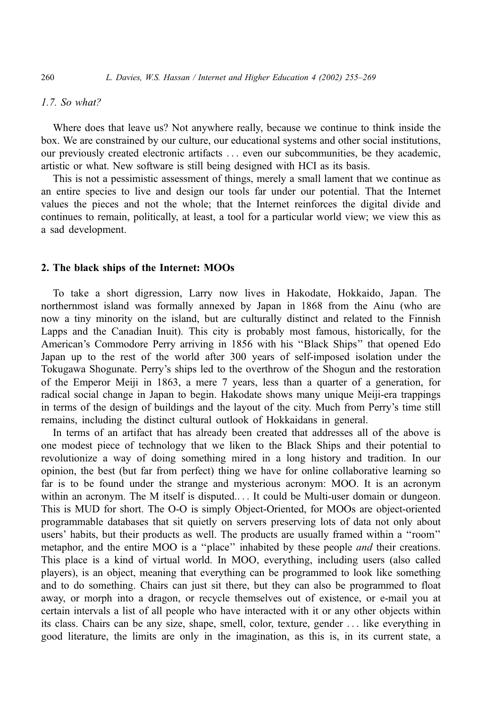## 1.7. So what?

Where does that leave us? Not anywhere really, because we continue to think inside the box. We are constrained by our culture, our educational systems and other social institutions, our previously created electronic artifacts ... even our subcommunities, be they academic, artistic or what. New software is still being designed with HCI as its basis.

This is not a pessimistic assessment of things, merely a small lament that we continue as an entire species to live and design our tools far under our potential. That the Internet values the pieces and not the whole; that the Internet reinforces the digital divide and continues to remain, politically, at least, a tool for a particular world view; we view this as a sad development.

## 2. The black ships of the Internet: MOOs

To take a short digression, Larry now lives in Hakodate, Hokkaido, Japan. The northernmost island was formally annexed by Japan in 1868 from the Ainu (who are now a tiny minority on the island, but are culturally distinct and related to the Finnish Lapps and the Canadian Inuit). This city is probably most famous, historically, for the American's Commodore Perry arriving in 1856 with his ''Black Ships'' that opened Edo Japan up to the rest of the world after 300 years of self-imposed isolation under the Tokugawa Shogunate. Perry's ships led to the overthrow of the Shogun and the restoration of the Emperor Meiji in 1863, a mere 7 years, less than a quarter of a generation, for radical social change in Japan to begin. Hakodate shows many unique Meiji-era trappings in terms of the design of buildings and the layout of the city. Much from Perry's time still remains, including the distinct cultural outlook of Hokkaidans in general.

In terms of an artifact that has already been created that addresses all of the above is one modest piece of technology that we liken to the Black Ships and their potential to revolutionize a way of doing something mired in a long history and tradition. In our opinion, the best (but far from perfect) thing we have for online collaborative learning so far is to be found under the strange and mysterious acronym: MOO. It is an acronym within an acronym. The M itself is disputed.... It could be Multi-user domain or dungeon. This is MUD for short. The O-O is simply Object-Oriented, for MOOs are object-oriented programmable databases that sit quietly on servers preserving lots of data not only about users' habits, but their products as well. The products are usually framed within a ''room'' metaphor, and the entire MOO is a "place" inhabited by these people *and* their creations. This place is a kind of virtual world. In MOO, everything, including users (also called players), is an object, meaning that everything can be programmed to look like something and to do something. Chairs can just sit there, but they can also be programmed to float away, or morph into a dragon, or recycle themselves out of existence, or e-mail you at certain intervals a list of all people who have interacted with it or any other objects within its class. Chairs can be any size, shape, smell, color, texture, gender ... like everything in good literature, the limits are only in the imagination, as this is, in its current state, a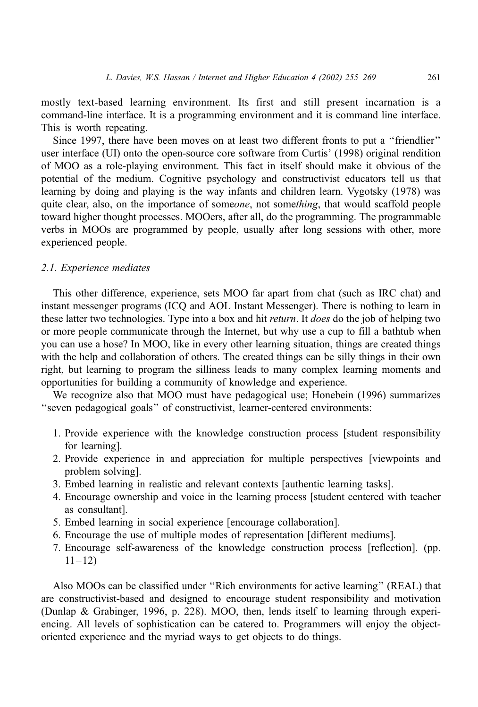mostly text-based learning environment. Its first and still present incarnation is a command-line interface. It is a programming environment and it is command line interface. This is worth repeating.

Since 1997, there have been moves on at least two different fronts to put a ''friendlier'' user interface (UI) onto the open-source core software from Curtis' (1998) original rendition of MOO as a role-playing environment. This fact in itself should make it obvious of the potential of the medium. Cognitive psychology and constructivist educators tell us that learning by doing and playing is the way infants and children learn. Vygotsky (1978) was quite clear, also, on the importance of some*one*, not something, that would scaffold people toward higher thought processes. MOOers, after all, do the programming. The programmable verbs in MOOs are programmed by people, usually after long sessions with other, more experienced people.

#### 2.1. Experience mediates

This other difference, experience, sets MOO far apart from chat (such as IRC chat) and instant messenger programs (ICQ and AOL Instant Messenger). There is nothing to learn in these latter two technologies. Type into a box and hit *return*. It *does* do the job of helping two or more people communicate through the Internet, but why use a cup to fill a bathtub when you can use a hose? In MOO, like in every other learning situation, things are created things with the help and collaboration of others. The created things can be silly things in their own right, but learning to program the silliness leads to many complex learning moments and opportunities for building a community of knowledge and experience.

We recognize also that MOO must have pedagogical use; Honebein (1996) summarizes ''seven pedagogical goals'' of constructivist, learner-centered environments:

- 1. Provide experience with the knowledge construction process [student responsibility for learning].
- 2. Provide experience in and appreciation for multiple perspectives [viewpoints and problem solving].
- 3. Embed learning in realistic and relevant contexts [authentic learning tasks].
- 4. Encourage ownership and voice in the learning process [student centered with teacher as consultant].
- 5. Embed learning in social experience [encourage collaboration].
- 6. Encourage the use of multiple modes of representation [different mediums].
- 7. Encourage self-awareness of the knowledge construction process [reflection]. (pp. 11–12)

Also MOOs can be classified under ''Rich environments for active learning'' (REAL) that are constructivist-based and designed to encourage student responsibility and motivation (Dunlap & Grabinger, 1996, p. 228). MOO, then, lends itself to learning through experiencing. All levels of sophistication can be catered to. Programmers will enjoy the objectoriented experience and the myriad ways to get objects to do things.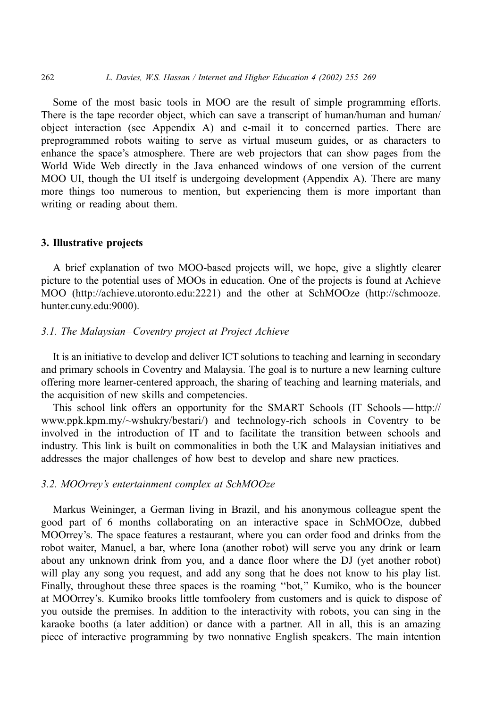Some of the most basic tools in MOO are the result of simple programming efforts. There is the tape recorder object, which can save a transcript of human/human and human/ object interaction (see Appendix A) and e-mail it to concerned parties. There are preprogrammed robots waiting to serve as virtual museum guides, or as characters to enhance the space's atmosphere. There are web projectors that can show pages from the World Wide Web directly in the Java enhanced windows of one version of the current MOO UI, though the UI itself is undergoing development (Appendix A). There are many more things too numerous to mention, but experiencing them is more important than writing or reading about them.

#### 3. Illustrative projects

A brief explanation of two MOO-based projects will, we hope, give a slightly clearer picture to the potential uses of MOOs in education. One of the projects is found at Achieve MOO (http://achieve.utoronto.edu:2221) and the other at SchMOOze (http://schmooze. hunter.cuny.edu:9000).

## 3.1. The Malaysian–Coventry project at Project Achieve

It is an initiative to develop and deliver ICT solutions to teaching and learning in secondary and primary schools in Coventry and Malaysia. The goal is to nurture a new learning culture offering more learner-centered approach, the sharing of teaching and learning materials, and the acquisition of new skills and competencies.

This school link offers an opportunity for the SMART Schools (IT Schools — http:// www.ppk.kpm.my/~wshukry/bestari/) and technology-rich schools in Coventry to be involved in the introduction of IT and to facilitate the transition between schools and industry. This link is built on commonalities in both the UK and Malaysian initiatives and addresses the major challenges of how best to develop and share new practices.

#### 3.2. MOOrrey's entertainment complex at SchMOOze

Markus Weininger, a German living in Brazil, and his anonymous colleague spent the good part of 6 months collaborating on an interactive space in SchMOOze, dubbed MOOrrey's. The space features a restaurant, where you can order food and drinks from the robot waiter, Manuel, a bar, where Iona (another robot) will serve you any drink or learn about any unknown drink from you, and a dance floor where the DJ (yet another robot) will play any song you request, and add any song that he does not know to his play list. Finally, throughout these three spaces is the roaming ''bot,'' Kumiko, who is the bouncer at MOOrrey's. Kumiko brooks little tomfoolery from customers and is quick to dispose of you outside the premises. In addition to the interactivity with robots, you can sing in the karaoke booths (a later addition) or dance with a partner. All in all, this is an amazing piece of interactive programming by two nonnative English speakers. The main intention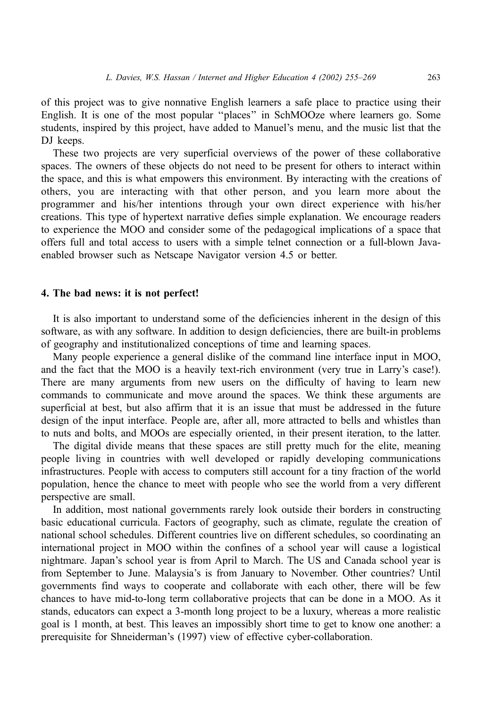of this project was to give nonnative English learners a safe place to practice using their English. It is one of the most popular ''places'' in SchMOOze where learners go. Some students, inspired by this project, have added to Manuel's menu, and the music list that the DJ keeps.

These two projects are very superficial overviews of the power of these collaborative spaces. The owners of these objects do not need to be present for others to interact within the space, and this is what empowers this environment. By interacting with the creations of others, you are interacting with that other person, and you learn more about the programmer and his/her intentions through your own direct experience with his/her creations. This type of hypertext narrative defies simple explanation. We encourage readers to experience the MOO and consider some of the pedagogical implications of a space that offers full and total access to users with a simple telnet connection or a full-blown Javaenabled browser such as Netscape Navigator version 4.5 or better.

## 4. The bad news: it is not perfect!

It is also important to understand some of the deficiencies inherent in the design of this software, as with any software. In addition to design deficiencies, there are built-in problems of geography and institutionalized conceptions of time and learning spaces.

Many people experience a general dislike of the command line interface input in MOO, and the fact that the MOO is a heavily text-rich environment (very true in Larry's case!). There are many arguments from new users on the difficulty of having to learn new commands to communicate and move around the spaces. We think these arguments are superficial at best, but also affirm that it is an issue that must be addressed in the future design of the input interface. People are, after all, more attracted to bells and whistles than to nuts and bolts, and MOOs are especially oriented, in their present iteration, to the latter.

The digital divide means that these spaces are still pretty much for the elite, meaning people living in countries with well developed or rapidly developing communications infrastructures. People with access to computers still account for a tiny fraction of the world population, hence the chance to meet with people who see the world from a very different perspective are small.

In addition, most national governments rarely look outside their borders in constructing basic educational curricula. Factors of geography, such as climate, regulate the creation of national school schedules. Different countries live on different schedules, so coordinating an international project in MOO within the confines of a school year will cause a logistical nightmare. Japan's school year is from April to March. The US and Canada school year is from September to June. Malaysia's is from January to November. Other countries? Until governments find ways to cooperate and collaborate with each other, there will be few chances to have mid-to-long term collaborative projects that can be done in a MOO. As it stands, educators can expect a 3-month long project to be a luxury, whereas a more realistic goal is 1 month, at best. This leaves an impossibly short time to get to know one another: a prerequisite for Shneiderman's (1997) view of effective cyber-collaboration.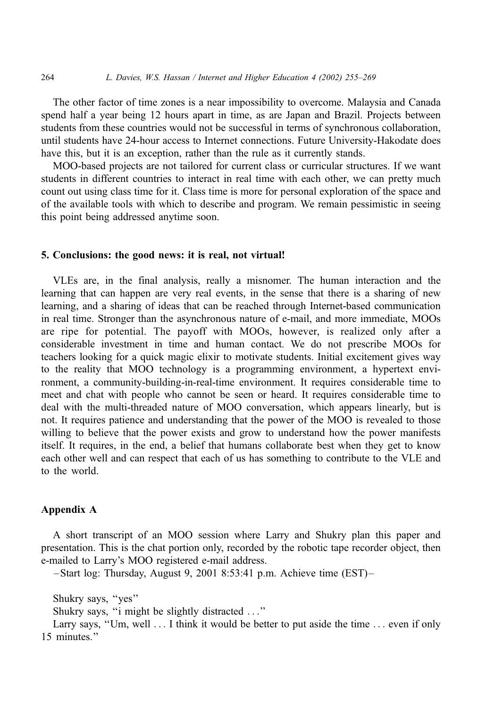The other factor of time zones is a near impossibility to overcome. Malaysia and Canada spend half a year being 12 hours apart in time, as are Japan and Brazil. Projects between students from these countries would not be successful in terms of synchronous collaboration, until students have 24-hour access to Internet connections. Future University-Hakodate does have this, but it is an exception, rather than the rule as it currently stands.

MOO-based projects are not tailored for current class or curricular structures. If we want students in different countries to interact in real time with each other, we can pretty much count out using class time for it. Class time is more for personal exploration of the space and of the available tools with which to describe and program. We remain pessimistic in seeing this point being addressed anytime soon.

## 5. Conclusions: the good news: it is real, not virtual!

VLEs are, in the final analysis, really a misnomer. The human interaction and the learning that can happen are very real events, in the sense that there is a sharing of new learning, and a sharing of ideas that can be reached through Internet-based communication in real time. Stronger than the asynchronous nature of e-mail, and more immediate, MOOs are ripe for potential. The payoff with MOOs, however, is realized only after a considerable investment in time and human contact. We do not prescribe MOOs for teachers looking for a quick magic elixir to motivate students. Initial excitement gives way to the reality that MOO technology is a programming environment, a hypertext environment, a community-building-in-real-time environment. It requires considerable time to meet and chat with people who cannot be seen or heard. It requires considerable time to deal with the multi-threaded nature of MOO conversation, which appears linearly, but is not. It requires patience and understanding that the power of the MOO is revealed to those willing to believe that the power exists and grow to understand how the power manifests itself. It requires, in the end, a belief that humans collaborate best when they get to know each other well and can respect that each of us has something to contribute to the VLE and to the world.

## Appendix A

A short transcript of an MOO session where Larry and Shukry plan this paper and presentation. This is the chat portion only, recorded by the robotic tape recorder object, then e-mailed to Larry's MOO registered e-mail address.

–Start log: Thursday, August 9, 2001 8:53:41 p.m. Achieve time (EST)–

Shukry says, ''yes''

Shukry says, ''i might be slightly distracted ...''

Larry says, "Um, well ... I think it would be better to put aside the time ... even if only 15 minutes."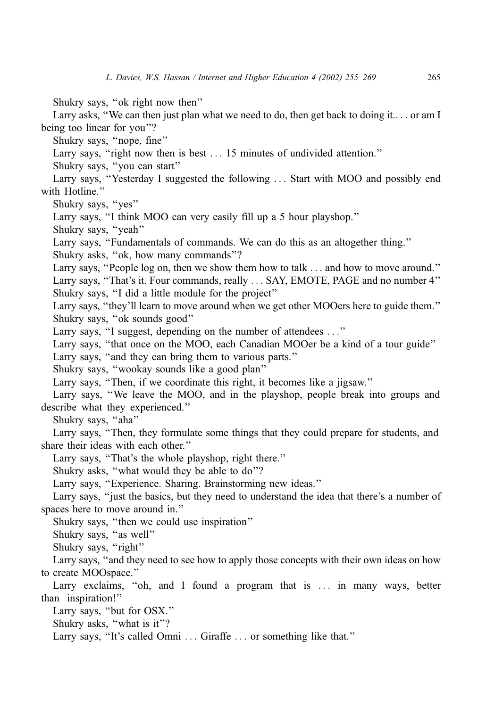Shukry says, ''ok right now then''

Larry asks, "We can then just plan what we need to do, then get back to doing it... or am I being too linear for you''?

Shukry says, ''nope, fine''

Larry says, "right now then is best . . . 15 minutes of undivided attention."

Shukry says, ''you can start''

Larry says, ''Yesterday I suggested the following ... Start with MOO and possibly end with Hotline."

Shukry says, ''yes''

Larry says, "I think MOO can very easily fill up a 5 hour playshop."

Shukry says, ''yeah''

Larry says, ''Fundamentals of commands. We can do this as an altogether thing.''

Shukry asks, ''ok, how many commands''?

Larry says, "People log on, then we show them how to talk ... and how to move around." Larry says, ''That's it. Four commands, really ... SAY, EMOTE, PAGE and no number 4'' Shukry says, ''I did a little module for the project''

Larry says, "they'll learn to move around when we get other MOOers here to guide them." Shukry says, ''ok sounds good''

Larry says, "I suggest, depending on the number of attendees ..."

Larry says, ''that once on the MOO, each Canadian MOOer be a kind of a tour guide''

Larry says, "and they can bring them to various parts."

Shukry says, ''wookay sounds like a good plan''

Larry says, "Then, if we coordinate this right, it becomes like a jigsaw."

Larry says, ''We leave the MOO, and in the playshop, people break into groups and describe what they experienced.''

Shukry says, ''aha''

Larry says, ''Then, they formulate some things that they could prepare for students, and share their ideas with each other.''

Larry says, "That's the whole playshop, right there."

Shukry asks, ''what would they be able to do''?

Larry says, "Experience. Sharing. Brainstorming new ideas."

Larry says, ''just the basics, but they need to understand the idea that there's a number of spaces here to move around in.''

Shukry says, ''then we could use inspiration''

Shukry says, "as well"

Shukry says, "right"

Larry says, ''and they need to see how to apply those concepts with their own ideas on how to create MOOspace.''

Larry exclaims, "oh, and I found a program that is ... in many ways, better than inspiration!''

Larry says, "but for OSX."

Shukry asks, "what is it"?

Larry says, "It's called Omni ... Giraffe ... or something like that."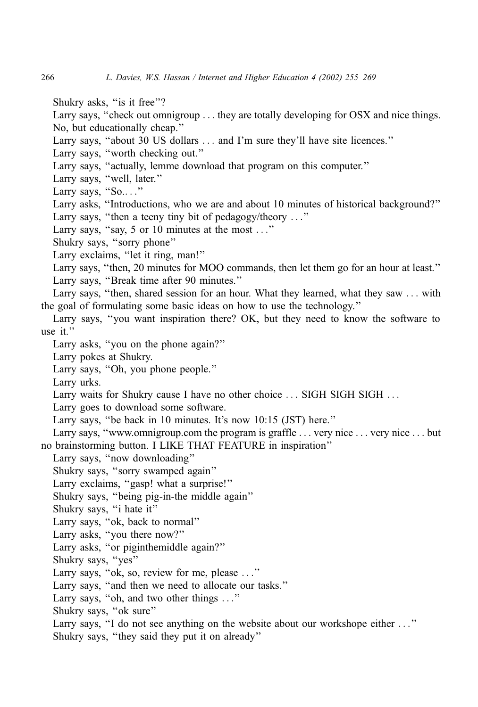Shukry asks, "is it free"?

Larry says, "check out omnigroup ... they are totally developing for OSX and nice things. No, but educationally cheap.''

Larry says, "about 30 US dollars ... and I'm sure they'll have site licences."

Larry says, "worth checking out."

Larry says, ''actually, lemme download that program on this computer.''

Larry says, "well, later."

Larry says, "So...."

Larry asks, ''Introductions, who we are and about 10 minutes of historical background?''

Larry says, "then a teeny tiny bit of pedagogy/theory ..."

Larry says, "say, 5 or 10 minutes at the most ..."

Shukry says, ''sorry phone''

Larry exclaims, "let it ring, man!"

Larry says, ''then, 20 minutes for MOO commands, then let them go for an hour at least.'' Larry says, ''Break time after 90 minutes.''

Larry says, "then, shared session for an hour. What they learned, what they saw ... with the goal of formulating some basic ideas on how to use the technology.''

Larry says, ''you want inspiration there? OK, but they need to know the software to use it."

Larry asks, "you on the phone again?"

Larry pokes at Shukry.

Larry says, "Oh, you phone people."

Larry urks.

Larry waits for Shukry cause I have no other choice ... SIGH SIGH SIGH ...

Larry goes to download some software.

Larry says, "be back in 10 minutes. It's now 10:15 (JST) here."

Larry says, "www.omnigroup.com the program is graffle ... very nice ... very nice ... but no brainstorming button. I LIKE THAT FEATURE in inspiration''

Larry says, "now downloading"

Shukry says, ''sorry swamped again''

Larry exclaims, "gasp! what a surprise!"

Shukry says, ''being pig-in-the middle again''

Shukry says, "i hate it"

Larry says, ''ok, back to normal''

Larry asks, "you there now?"

Larry asks, "or piginthemiddle again?"

Shukry says, ''yes''

Larry says, "ok, so, review for me, please ..."

Larry says, "and then we need to allocate our tasks."

Larry says, "oh, and two other things ..."

Shukry says, ''ok sure''

Larry says, "I do not see anything on the website about our workshope either ..." Shukry says, ''they said they put it on already''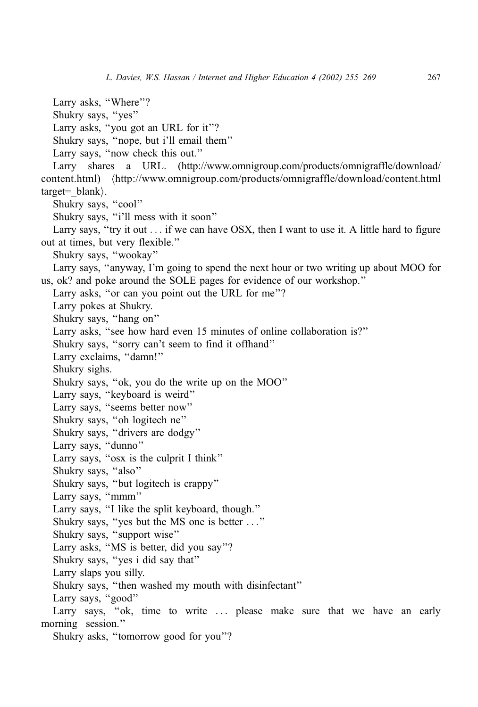Larry asks, "Where"?

Shukry says, ''yes''

Larry asks, "you got an URL for it"?

Shukry says, ''nope, but i'll email them''

Larry says, "now check this out."

Larry shares a URL. (http://www.omnigroup.com/products/omnigraffle/download/ content.html) (http://www.omnigroup.com/products/omnigraffle/download/content.html  $target=$  blank $\rangle$ .

Shukry says, "cool"

Shukry says, "i'll mess with it soon"

Larry says, "try it out  $\ldots$  if we can have OSX, then I want to use it. A little hard to figure out at times, but very flexible.''

Shukry says, ''wookay''

Larry says, ''anyway, I'm going to spend the next hour or two writing up about MOO for us, ok? and poke around the SOLE pages for evidence of our workshop.''

Larry asks, "or can you point out the URL for me"?

Larry pokes at Shukry.

Shukry says, ''hang on''

Larry asks, "see how hard even 15 minutes of online collaboration is?"

Shukry says, ''sorry can't seem to find it offhand''

Larry exclaims, "damn!"

Shukry sighs.

Shukry says, ''ok, you do the write up on the MOO''

Larry says, "keyboard is weird"

Larry says, "seems better now"

Shukry says, ''oh logitech ne''

Shukry says, ''drivers are dodgy''

Larry says, "dunno"

Larry says, "osx is the culprit I think"

Shukry says, "also"

Shukry says, ''but logitech is crappy''

Larry says, ''mmm''

Larry says, "I like the split keyboard, though."

Shukry says, ''yes but the MS one is better ...''

Shukry says, ''support wise''

Larry asks, "MS is better, did you say"?

Shukry says, ''yes i did say that''

Larry slaps you silly.

Shukry says, ''then washed my mouth with disinfectant''

Larry says, "good"

Larry says, "ok, time to write ... please make sure that we have an early morning session.''

Shukry asks, ''tomorrow good for you''?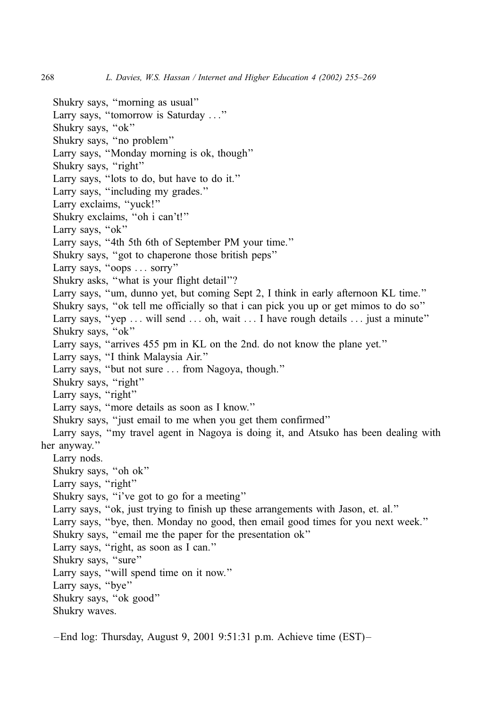Shukry says, ''morning as usual'' Larry says, "tomorrow is Saturday ..." Shukry says, "ok" Shukry says, ''no problem'' Larry says, ''Monday morning is ok, though'' Shukry says, "right" Larry says, "lots to do, but have to do it." Larry says, "including my grades." Larry exclaims, "yuck!" Shukry exclaims, ''oh i can't!'' Larry says, "ok" Larry says, "4th 5th 6th of September PM your time." Shukry says, ''got to chaperone those british peps'' Larry says, "oops ... sorry" Shukry asks, ''what is your flight detail''? Larry says, ''um, dunno yet, but coming Sept 2, I think in early afternoon KL time.'' Shukry says, ''ok tell me officially so that i can pick you up or get mimos to do so'' Larry says, "yep ... will send ... oh, wait ... I have rough details ... just a minute" Shukry says, "ok" Larry says, "arrives 455 pm in KL on the 2nd. do not know the plane yet." Larry says, ''I think Malaysia Air.'' Larry says, ''but not sure ... from Nagoya, though.'' Shukry says, "right" Larry says, "right" Larry says, ''more details as soon as I know.'' Shukry says, ''just email to me when you get them confirmed'' Larry says, ''my travel agent in Nagoya is doing it, and Atsuko has been dealing with her anyway.'' Larry nods. Shukry says, ''oh ok'' Larry says, "right" Shukry says, ''i've got to go for a meeting'' Larry says, "ok, just trying to finish up these arrangements with Jason, et. al." Larry says, ''bye, then. Monday no good, then email good times for you next week.'' Shukry says, ''email me the paper for the presentation ok'' Larry says, "right, as soon as I can." Shukry says, "sure" Larry says, "will spend time on it now." Larry says, "bye" Shukry says, ''ok good'' Shukry waves.

–End log: Thursday, August 9, 2001 9:51:31 p.m. Achieve time (EST)–